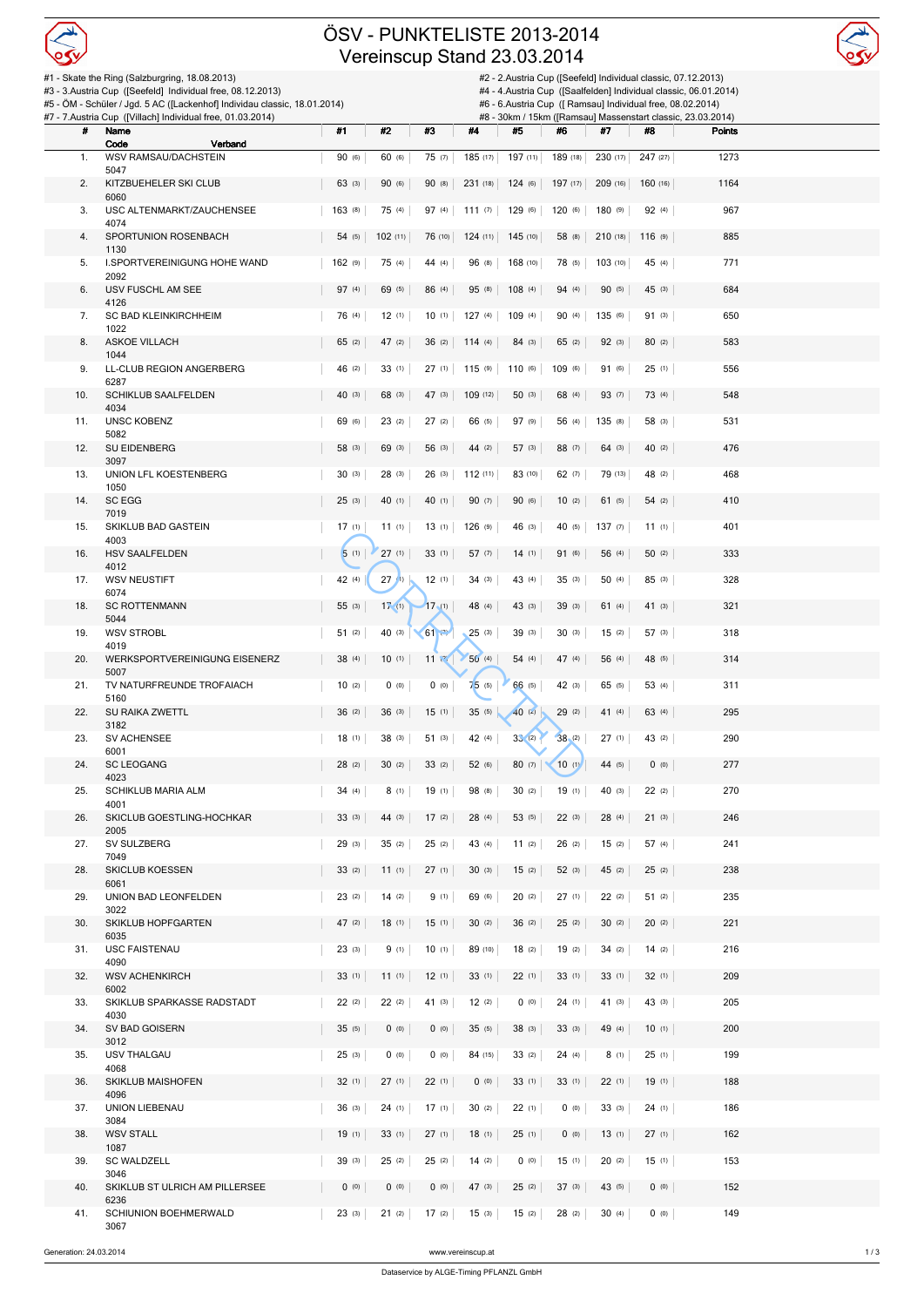

## ÖSV - PUNKTELISTE 2013-2014 Vereinscup Stand 23.03.2014



| #1 - Skate the Ring (Salzburgring, 18.08.2013)<br>#2 - 2.Austria Cup ([Seefeld] Individual classic, 07.12.2013)<br>#3 - 3.Austria Cup ([Seefeld] Individual free, 08.12.2013)<br>#4 - 4. Austria Cup ([Saalfelden] Individual classic, 06.01.2014) |                                                                                                                                         |        |           |                                                                                                                            |                 |                            |                |                   |          |               |  |
|----------------------------------------------------------------------------------------------------------------------------------------------------------------------------------------------------------------------------------------------------|-----------------------------------------------------------------------------------------------------------------------------------------|--------|-----------|----------------------------------------------------------------------------------------------------------------------------|-----------------|----------------------------|----------------|-------------------|----------|---------------|--|
|                                                                                                                                                                                                                                                    | #5 - ÖM - Schüler / Jgd. 5 AC ([Lackenhof] Individau classic, 18.01.2014)<br>#7 - 7.Austria Cup ([Villach] Individual free, 01.03.2014) |        |           | #6 - 6. Austria Cup ([ Ramsau] Individual free, 08.02.2014)<br>#8 - 30km / 15km ([Ramsau] Massenstart classic, 23.03.2014) |                 |                            |                |                   |          |               |  |
| #                                                                                                                                                                                                                                                  | Name                                                                                                                                    | #1     | #2        | #3                                                                                                                         | #4              | #5                         | #6             | #7                | #8       | <b>Points</b> |  |
| 1.                                                                                                                                                                                                                                                 | Code<br>Verband<br>WSV RAMSAU/DACHSTEIN                                                                                                 | 90 (6) | 60 (6)    | 75(7)                                                                                                                      |                 | 185 (17) 197 (11) 189 (18) |                | 230 (17)          | 247 (27) | 1273          |  |
| 2.                                                                                                                                                                                                                                                 | 5047<br>KITZBUEHELER SKI CLUB                                                                                                           | 63 (3) | 90 (6)    | 90 (8)                                                                                                                     |                 | 231 (18) 124 (6) 197 (17)  |                | 209 (16)          | 160(16)  | 1164          |  |
| 3.                                                                                                                                                                                                                                                 | 6060<br>USC ALTENMARKT/ZAUCHENSEE                                                                                                       | 163(8) | 75 (4)    | 97(4)                                                                                                                      | 111 (7) 129 (6) |                            | 120(6)         | 180(9)            | 92(4)    | 967           |  |
| 4.                                                                                                                                                                                                                                                 | 4074<br>SPORTUNION ROSENBACH                                                                                                            | 54 (5) | 102 (11)  | 76 (10)                                                                                                                    |                 | 124 (11) 145 (10)          | 58 (8)         | $210(18)$ 116 (9) |          | 885           |  |
| 5.                                                                                                                                                                                                                                                 | 1130<br>I.SPORTVEREINIGUNG HOHE WAND                                                                                                    | 162(9) | 75 (4)    | 44 (4)                                                                                                                     | 96 (8)          | 168 (10)                   | 78 (5)         | 103(10)           | 45 (4)   | 771           |  |
| 6.                                                                                                                                                                                                                                                 | 2092<br>USV FUSCHL AM SEE                                                                                                               | 97(4)  | 69 (5)    | 86 (4)                                                                                                                     | 95 (8)          | 108(4)                     | 94 (4)         | 90 (5)            | 45(3)    | 684           |  |
| 7.                                                                                                                                                                                                                                                 | 4126<br>SC BAD KLEINKIRCHHEIM                                                                                                           | 76 (4) | 12(1)     |                                                                                                                            | 10 (1) 127 (4)  | 109(4)                     | 90 (4)         | 135(6)            | 91(3)    | 650           |  |
|                                                                                                                                                                                                                                                    | 1022                                                                                                                                    |        |           |                                                                                                                            |                 |                            |                |                   |          | 583           |  |
| 8.                                                                                                                                                                                                                                                 | <b>ASKOE VILLACH</b><br>1044                                                                                                            | 65(2)  | 47 (2)    |                                                                                                                            | 36 (2) 114 (4)  | 84(3)                      | 65 (2)         | 92(3)             | 80(2)    |               |  |
| 9.                                                                                                                                                                                                                                                 | LL-CLUB REGION ANGERBERG<br>6287                                                                                                        | 46 (2) | 33(1)     | 27(1)                                                                                                                      | 115(9)          | 110(6)                     | 109 (6)        | 91 (6)            | 25(1)    | 556           |  |
| 10.                                                                                                                                                                                                                                                | <b>SCHIKLUB SAALFELDEN</b><br>4034                                                                                                      | 40(3)  | 68 (3)    | 47(3)                                                                                                                      | 109(12)         | 50(3)                      | 68 (4)         | 93 (7)            | 73 (4)   | 548           |  |
| 11.                                                                                                                                                                                                                                                | <b>UNSC KOBENZ</b><br>5082                                                                                                              | 69 (6) | 23(2)     | 27(2)                                                                                                                      | 66 (5)          | 97 (9)                     | 56 (4)         | 135(8)            | 58 (3)   | 531           |  |
| 12.                                                                                                                                                                                                                                                | SU EIDENBERG<br>3097                                                                                                                    | 58 (3) | 69 (3)    | 56 (3)                                                                                                                     | 44 (2)          | 57(3)                      | 88 (7)         | 64(3)             | 40 (2)   | 476           |  |
| 13.                                                                                                                                                                                                                                                | UNION LFL KOESTENBERG<br>1050                                                                                                           | 30(3)  | 28(3)     | 26(3)                                                                                                                      | 112(11)         | 83 (10)                    | 62 (7)         | 79 (13)           | 48 (2)   | 468           |  |
| 14.                                                                                                                                                                                                                                                | SC EGG<br>7019                                                                                                                          | 25(3)  | 40(1)     | 40(1)                                                                                                                      | 90(7)           | 90 (6)                     | 10(2)          | 61(5)             | 54(2)    | 410           |  |
| 15.                                                                                                                                                                                                                                                | SKIKLUB BAD GASTEIN<br>4003                                                                                                             | 17(1)  | 11(1)     | 13(1)                                                                                                                      | $126$ (9)       | 46(3)                      | 40 (5)         | 137(7)            | 11(1)    | 401           |  |
| 16.                                                                                                                                                                                                                                                | HSV SAALFELDEN                                                                                                                          | 5(1)   | 27(1)     | 33(1)                                                                                                                      | 57(7)           | 14(1)                      | 91 (6)         | 56 (4)            | 50(2)    | 333           |  |
| 17.                                                                                                                                                                                                                                                | 4012<br><b>WSV NEUSTIFT</b>                                                                                                             | 42 (4) | 27(1)     | 12(1)                                                                                                                      | 34(3)           | 43 (4)                     | 35(3)          | 50 (4)            | 85(3)    | 328           |  |
| 18.                                                                                                                                                                                                                                                | 6074<br><b>SC ROTTENMANN</b>                                                                                                            | 55 (3) | 17(1)     | 17(1)                                                                                                                      | 48 (4)          | 43(3)                      | 39(3)          | 61(4)             | 41(3)    | 321           |  |
| 19.                                                                                                                                                                                                                                                | 5044<br><b>WSV STROBL</b>                                                                                                               | 51(2)  | 40(3)     | $\times$ 61 $\approx$                                                                                                      | 25(3)           | 39(3)                      | 30(3)          | 15(2)             | 57(3)    | 318           |  |
| 20.                                                                                                                                                                                                                                                | 4019<br>WERKSPORTVEREINIGUNG EISENERZ                                                                                                   | 38 (4) | 10(1)     | 11 晚                                                                                                                       | 50(4)           | 54 (4)                     | 47 (4)         | 56 (4)            | 48 (5)   | 314           |  |
| 21.                                                                                                                                                                                                                                                | 5007<br>TV NATURFREUNDE TROFAIACH                                                                                                       | 10(2)  | $(0)$ (0) | 0(0)                                                                                                                       | 75(5)           | 66 (5)                     | 42(3)          | 65 (5)            | 53 (4)   | 311           |  |
| 22.                                                                                                                                                                                                                                                | 5160<br>SU RAIKA ZWETTL                                                                                                                 | 36(2)  | 36(3)     | 15(1)                                                                                                                      | 35(5)           | $40$ (2)                   | 29(2)          | 41(4)             | 63 (4)   | 295           |  |
| 23.                                                                                                                                                                                                                                                | 3182<br><b>SV ACHENSEE</b>                                                                                                              | 18(1)  | 38(3)     | 51(3)                                                                                                                      | 42 (4)          | 33(2)                      | 38(2)          | 27(1)             | 43 (2)   | 290           |  |
| 24.                                                                                                                                                                                                                                                | 6001<br><b>SC LEOGANG</b>                                                                                                               | 28(2)  |           | $30 (2)$ $33 (2)$                                                                                                          | 52 (6)          |                            | $80(7)$ 10 (1) | 44 (5) 0 (0)      |          | 277           |  |
| 25.                                                                                                                                                                                                                                                | 4023<br>SCHIKLUB MARIA ALM                                                                                                              |        | 8(1)      |                                                                                                                            |                 |                            | 19(1)          | 40 (3)            |          | 270           |  |
|                                                                                                                                                                                                                                                    | 4001                                                                                                                                    | 34 (4) |           | 19(1)                                                                                                                      | 98 (8)          | 30(2)                      |                |                   | 22(2)    |               |  |
| 26.                                                                                                                                                                                                                                                | SKICLUB GOESTLING-HOCHKAR<br>2005                                                                                                       | 33(3)  | 44 (3)    | 17(2)                                                                                                                      | 28(4)           | 53 (5)                     | 22(3)          | 28(4)             | 21(3)    | 246           |  |
| 27.                                                                                                                                                                                                                                                | SV SULZBERG<br>7049                                                                                                                     | 29(3)  | 35(2)     | 25(2)                                                                                                                      | 43 (4)          | 11(2)                      | 26(2)          | 15(2)             | 57 (4)   | 241           |  |
| 28.                                                                                                                                                                                                                                                | SKICLUB KOESSEN<br>6061                                                                                                                 | 33(2)  | 11(1)     | 27(1)                                                                                                                      | $30^{(3)}$      | 15(2)                      | 52(3)          | 45 (2)            | 25(2)    | 238           |  |
| 29.                                                                                                                                                                                                                                                | UNION BAD LEONFELDEN<br>3022                                                                                                            | 23(2)  | 14(2)     | 9(1)                                                                                                                       | 69 (6)          | 20(2)                      | 27(1)          | 22(2)             | 51(2)    | 235           |  |
| 30.                                                                                                                                                                                                                                                | SKIKLUB HOPFGARTEN<br>6035                                                                                                              | 47 (2) | 18(1)     | 15(1)                                                                                                                      | 30(2)           | 36(2)                      | 25(2)          | 30(2)             | 20(2)    | 221           |  |
| 31.                                                                                                                                                                                                                                                | <b>USC FAISTENAU</b><br>4090                                                                                                            | 23(3)  | 9(1)      | 10(1)                                                                                                                      | 89 (10)         | 18(2)                      | 19(2)          | 34(2)             | 14(2)    | 216           |  |
| 32.                                                                                                                                                                                                                                                | <b>WSV ACHENKIRCH</b><br>6002                                                                                                           | 33(1)  | 11(1)     | 12(1)                                                                                                                      | 33(1)           | 22(1)                      | 33(1)          | 33(1)             | 32(1)    | 209           |  |
| 33.                                                                                                                                                                                                                                                | SKIKLUB SPARKASSE RADSTADT<br>4030                                                                                                      | 22(2)  | 22(2)     | 41 (3)                                                                                                                     | 12(2)           | 0(0)                       | 24(1)          | 41 (3)            | 43 (3)   | 205           |  |
| 34.                                                                                                                                                                                                                                                | SV BAD GOISERN                                                                                                                          | 35(5)  | (0)       | 0(0)                                                                                                                       | 35(5)           | 38(3)                      | 33(3)          | 49 (4)            | 10(1)    | 200           |  |
| 35.                                                                                                                                                                                                                                                | 3012<br>USV THALGAU                                                                                                                     | 25(3)  | (0)       | 0(0)                                                                                                                       | 84 (15)         | 33(2)                      | 24(4)          | 8(1)              | 25(1)    | 199           |  |
| 36.                                                                                                                                                                                                                                                | 4068<br>SKIKLUB MAISHOFEN                                                                                                               | 32(1)  | 27(1)     | 22(1)                                                                                                                      | 0 (0)           | 33(1)                      | 33(1)          | 22(1)             | 19(1)    | 188           |  |
| 37.                                                                                                                                                                                                                                                | 4096<br>UNION LIEBENAU                                                                                                                  | 36(3)  | 24(1)     | 17(1)                                                                                                                      | 30(2)           | 22(1)                      | (0)            | 33(3)             | 24(1)    | 186           |  |
| 38.                                                                                                                                                                                                                                                | 3084<br><b>WSV STALL</b>                                                                                                                | 19(1)  | 33(1)     | 27(1)                                                                                                                      | 18(1)           | 25(1)                      | 0(0)           | 13(1)             | 27(1)    | 162           |  |
| 39.                                                                                                                                                                                                                                                | 1087<br><b>SC WALDZELL</b>                                                                                                              | 39(3)  | 25(2)     | 25(2)                                                                                                                      | 14(2)           | 0(0)                       | 15(1)          | 20(2)             | 15(1)    | 153           |  |
| 40.                                                                                                                                                                                                                                                | 3046<br>SKIKLUB ST ULRICH AM PILLERSEE                                                                                                  | (0)    | (0)       | 0(0)                                                                                                                       | 47(3)           | 25(2)                      | 37(3)          | 43 (5)            | 0(0)     | 152           |  |
| 41.                                                                                                                                                                                                                                                | 6236<br>SCHIUNION BOEHMERWALD                                                                                                           | 23(3)  | 21(2)     | 17 (2)                                                                                                                     | 15(3)           | 15(2)                      | 28(2)          | 30(4)             | 0(0)     | 149           |  |
|                                                                                                                                                                                                                                                    | 3067                                                                                                                                    |        |           |                                                                                                                            |                 |                            |                |                   |          |               |  |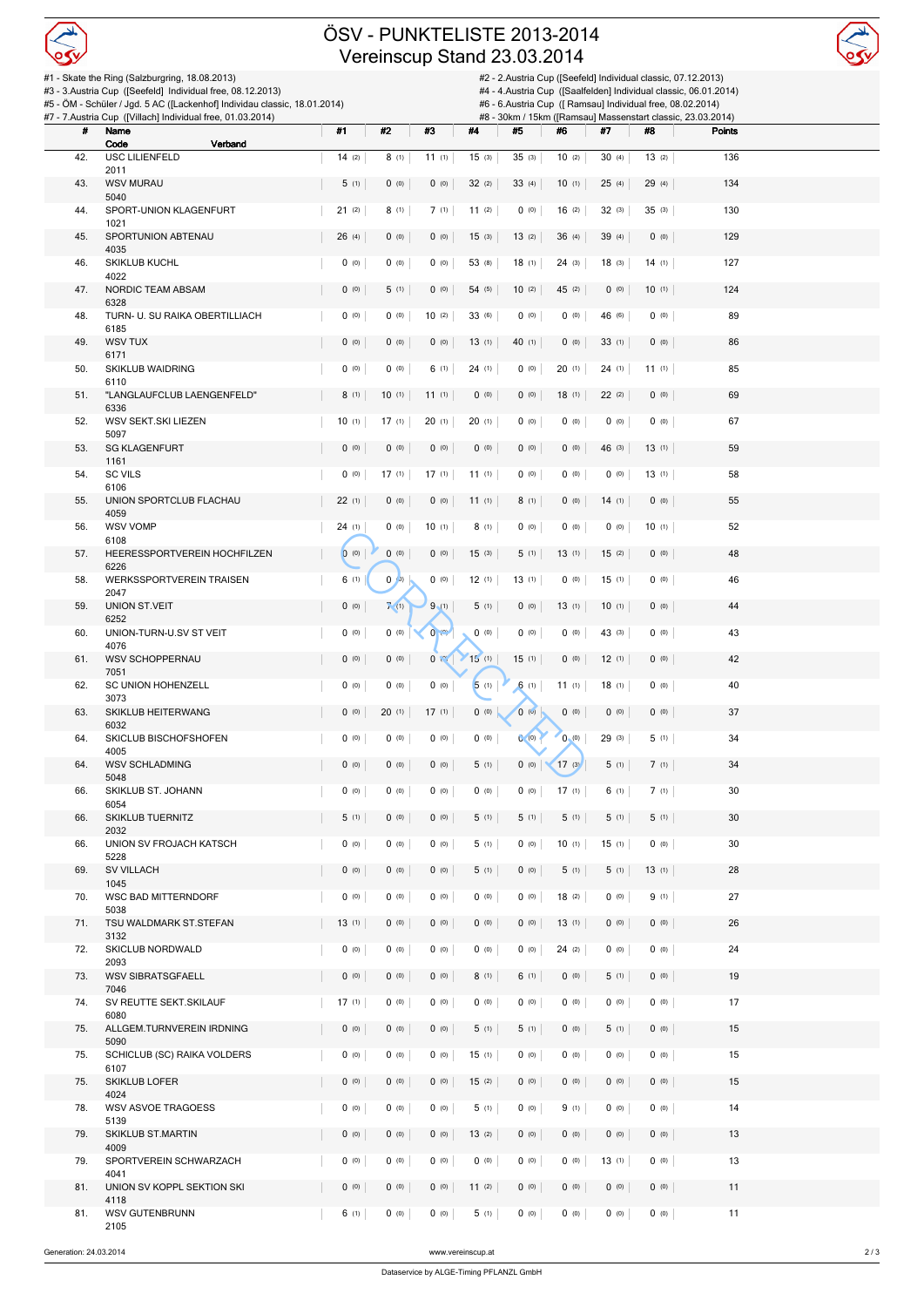

## ÖSV - PUNKTELISTE 2013-2014 Vereinscup Stand 23.03.2014



|     | #1 - Skate the Ring (Salzburgring, 18.08.2013)<br>#3 - 3.Austria Cup ([Seefeld] Individual free, 08.12.2013)<br>#5 - ÖM - Schüler / Jgd. 5 AC ([Lackenhof] Individau classic, 18.01.2014)<br>#7 - 7.Austria Cup ([Villach] Individual free, 01.03.2014) |             | #2 - 2.Austria Cup ([Seefeld] Individual classic, 07.12.2013)<br>#4 - 4. Austria Cup ([Saalfelden] Individual classic, 06.01.2014)<br>#6 - 6.Austria Cup ([ Ramsau] Individual free, 08.02.2014)<br>#8 - 30km / 15km ([Ramsau] Massenstart classic, 23.03.2014) |                             |           |        |               |           |             |        |  |
|-----|---------------------------------------------------------------------------------------------------------------------------------------------------------------------------------------------------------------------------------------------------------|-------------|-----------------------------------------------------------------------------------------------------------------------------------------------------------------------------------------------------------------------------------------------------------------|-----------------------------|-----------|--------|---------------|-----------|-------------|--------|--|
| #   | Name                                                                                                                                                                                                                                                    | #1          | #2                                                                                                                                                                                                                                                              | #3                          | #4        | #5     | #6            | #7        | #8          | Points |  |
| 42. | Code<br>Verband<br><b>USC LILIENFELD</b>                                                                                                                                                                                                                | 14(2)       | 8(1)                                                                                                                                                                                                                                                            | 11(1)                       | 15(3)     | 35(3)  | 10(2)         | 30(4)     | 13(2)       | 136    |  |
| 43. | 2011<br><b>WSV MURAU</b>                                                                                                                                                                                                                                | 5(1)        | (0)                                                                                                                                                                                                                                                             | (0)                         | 32(2)     | 33(4)  | 10(1)         | 25(4)     | 29 (4)      | 134    |  |
|     | 5040                                                                                                                                                                                                                                                    |             |                                                                                                                                                                                                                                                                 |                             |           |        |               |           |             |        |  |
| 44. | SPORT-UNION KLAGENFURT<br>1021                                                                                                                                                                                                                          | 21(2)       | 8(1)                                                                                                                                                                                                                                                            | 7(1)                        | 11(2)     | 0(0)   | 16(2)         | 32(3)     | 35(3)       | 130    |  |
| 45. | SPORTUNION ABTENAU<br>4035                                                                                                                                                                                                                              | 26(4)       | $(0)$ (0)                                                                                                                                                                                                                                                       | (0)                         | 15(3)     | 13(2)  | 36(4)         | 39 (4)    | $(0)$ (0)   | 129    |  |
| 46. | <b>SKIKLUB KUCHL</b>                                                                                                                                                                                                                                    | $(0)$ (0)   | (0)                                                                                                                                                                                                                                                             | $(0)$ (0)                   | 53 (8)    | 18(1)  | 24(3)         | 18(3)     | 14(1)       | 127    |  |
| 47. | 4022<br>NORDIC TEAM ABSAM                                                                                                                                                                                                                               | (0)         | 5(1)                                                                                                                                                                                                                                                            | (0)                         | 54 (5)    | 10(2)  | 45(2)         | (0)       | 10(1)       | 124    |  |
| 48. | 6328<br>TURN- U. SU RAIKA OBERTILLIACH                                                                                                                                                                                                                  | $(0)$ (0)   | $(0)$ (0)                                                                                                                                                                                                                                                       | 10(2)                       | 33 (6)    | (0)    | (0)           | 46 (6)    | 0(0)        | 89     |  |
| 49. | 6185<br>WSV TUX                                                                                                                                                                                                                                         | $(0)$ (0)   | (0)                                                                                                                                                                                                                                                             | (0)                         | 13(1)     | 40 (1) | 0(0)          | 33(1)     | (0)         | 86     |  |
|     | 6171                                                                                                                                                                                                                                                    |             |                                                                                                                                                                                                                                                                 |                             |           |        |               |           |             |        |  |
| 50. | SKIKLUB WAIDRING<br>6110                                                                                                                                                                                                                                | 0 (0)       | $(0)$ (0)                                                                                                                                                                                                                                                       | 6(1)                        | 24(1)     | (0)    | 20(1)         | 24(1)     | 11(1)       | 85     |  |
| 51. | "LANGLAUFCLUB LAENGENFELD"<br>6336                                                                                                                                                                                                                      | 8(1)        | 10(1)                                                                                                                                                                                                                                                           | 11(1)                       | 0(0)      | 0(0)   | 18(1)         | 22(2)     | $(0)$ $(0)$ | 69     |  |
| 52. | WSV SEKT.SKI LIEZEN<br>5097                                                                                                                                                                                                                             | 10(1)       | 17(1)                                                                                                                                                                                                                                                           | 20(1)                       | 20(1)     | (0)    | (0)           | $(0)$ (0) | $(0)$ (0)   | 67     |  |
| 53. | <b>SG KLAGENFURT</b>                                                                                                                                                                                                                                    | (0)         | $(0)$ (0)                                                                                                                                                                                                                                                       | 0(0)                        | (0)       | 0(0)   | (0)           | 46(3)     | 13(1)       | 59     |  |
| 54. | 1161<br><b>SC VILS</b>                                                                                                                                                                                                                                  | (0)         | 17(1)                                                                                                                                                                                                                                                           | 17(1)                       | 11(1)     | 0(0)   | $(0)$ $(0)$   | 0(0)      | 13(1)       | 58     |  |
| 55. | 6106<br>UNION SPORTCLUB FLACHAU                                                                                                                                                                                                                         | 22(1)       | (0)                                                                                                                                                                                                                                                             | (0)                         | 11(1)     | 8(1)   | (0)           | 14(1)     | (0)         | 55     |  |
|     | 4059                                                                                                                                                                                                                                                    |             |                                                                                                                                                                                                                                                                 |                             |           |        |               |           |             |        |  |
| 56. | <b>WSV VOMP</b><br>6108                                                                                                                                                                                                                                 | 24(1)       | $(0)$ (0)                                                                                                                                                                                                                                                       | 10(1)                       | 8(1)      | (0)    | (0)           | $(0)$ (0) | 10(1)       | 52     |  |
| 57. | HEERESSPORTVEREIN HOCHFILZEN<br>6226                                                                                                                                                                                                                    | (0)         | (0)                                                                                                                                                                                                                                                             | 0(0)                        | 15(3)     | 5(1)   | 13(1)         | 15(2)     | $(0)$ $(0)$ | 48     |  |
| 58. | <b>WERKSSPORTVEREIN TRAISEN</b><br>2047                                                                                                                                                                                                                 | 6(1)        | (0, 0)                                                                                                                                                                                                                                                          | (0)                         | 12(1)     | 13(1)  | (0)           | 15(1)     | 0(0)        | 46     |  |
| 59. | UNION ST.VEIT                                                                                                                                                                                                                                           | (0)         | $\overline{I}$ (1)                                                                                                                                                                                                                                              | 9(1)                        | 5(1)      | 0(0)   | 13(1)         | 10(1)     | $(0)$ (0)   | 44     |  |
| 60. | 6252<br>UNION-TURN-U.SV ST VEIT                                                                                                                                                                                                                         | $(0)$ (0)   | $(0)$ (0)                                                                                                                                                                                                                                                       | $0 \leftrightarrow$         | $(0)$ (0) | 0(0)   | 0(0)          | 43 (3)    | 0(0)        | 43     |  |
| 61. | 4076<br>WSV SCHOPPERNAU                                                                                                                                                                                                                                 | (0)         | $(0)$ (0)                                                                                                                                                                                                                                                       | 0 <sup>10<sup>2</sup></sup> | 15(1)     | 15(1)  | 0 (0)         | 12(1)     | $(0)$ (0)   | 42     |  |
| 62. | 7051<br>SC UNION HOHENZELL                                                                                                                                                                                                                              | $(0)$ (0)   | $(0)$ (0)                                                                                                                                                                                                                                                       | 0(0)                        | 5(1)      | 6(1)   | 11(1)         | 18(1)     | $(0)$ (0)   | 40     |  |
|     | 3073                                                                                                                                                                                                                                                    |             |                                                                                                                                                                                                                                                                 |                             |           |        |               |           |             |        |  |
| 63. | SKIKLUB HEITERWANG<br>6032                                                                                                                                                                                                                              | $(0)$ $(0)$ | 20(1)                                                                                                                                                                                                                                                           | 17(1)                       | 0 (0)     | 0 (6)  | 0 (0)         | 0(0)      | $(0)$ (0)   | 37     |  |
| 64. | SKICLUB BISCHOFSHOFEN<br>4005                                                                                                                                                                                                                           | (0)         | $(0)$ (0)                                                                                                                                                                                                                                                       | $(0)$ (0)                   | 0 (0)     | O(0)   | 0(0)          | 29(3)     | 5(1)        | 34     |  |
| 64. | <b>WSV SCHLADMING</b><br>5048                                                                                                                                                                                                                           | (0)         | (0)                                                                                                                                                                                                                                                             | 0(0)                        | 5(1)      | 0(0)   | $\leq 17$ (3) | 5(1)      | 7(1)        | 34     |  |
| 66. | SKIKLUB ST. JOHANN                                                                                                                                                                                                                                      | (0)         | (0)                                                                                                                                                                                                                                                             | 0(0)                        | 0 (0)     | 0(0)   | 17(1)         | 6(1)      | 7(1)        | 30     |  |
| 66. | 6054<br><b>SKIKLUB TUERNITZ</b>                                                                                                                                                                                                                         | 5(1)        | (0)                                                                                                                                                                                                                                                             | 0(0)                        | 5(1)      | 5(1)   | 5(1)          | 5(1)      | 5(1)        | 30     |  |
| 66. | 2032<br>UNION SV FROJACH KATSCH                                                                                                                                                                                                                         | $(0)$ (0)   | (0)                                                                                                                                                                                                                                                             | 0(0)                        | 5(1)      | 0(0)   | 10(1)         | 15(1)     | $(0)$ (0)   | 30     |  |
|     | 5228<br><b>SV VILLACH</b>                                                                                                                                                                                                                               | $(0)$ (0)   |                                                                                                                                                                                                                                                                 |                             |           |        |               |           |             | 28     |  |
| 69. | 1045                                                                                                                                                                                                                                                    |             | (0)                                                                                                                                                                                                                                                             | 0(0)                        | 5(1)      | 0(0)   | 5(1)          | 5(1)      | 13(1)       |        |  |
| 70. | <b>WSC BAD MITTERNDORF</b><br>5038                                                                                                                                                                                                                      | $(0)$ (0)   | (0)                                                                                                                                                                                                                                                             | 0(0)                        | 0(0)      | 0(0)   | 18(2)         | $(0)$ (0) | 9(1)        | 27     |  |
| 71. | TSU WALDMARK ST.STEFAN<br>3132                                                                                                                                                                                                                          | 13(1)       | (0)                                                                                                                                                                                                                                                             | 0(0)                        | 0 (0)     | 0(0)   | 13(1)         | (0)       | $(0)$ (0)   | 26     |  |
| 72. | SKICLUB NORDWALD<br>2093                                                                                                                                                                                                                                | $(0)$ (0)   | (0)                                                                                                                                                                                                                                                             | 0(0)                        | 0 (0)     | 0 (0)  | 24(2)         | (0)       | 0(0)        | 24     |  |
| 73. | <b>WSV SIBRATSGFAELL</b>                                                                                                                                                                                                                                | $(0)$ $(0)$ | (0)                                                                                                                                                                                                                                                             | 0(0)                        | 8(1)      | 6(1)   | (0)           | 5(1)      | (0)         | 19     |  |
| 74. | 7046<br>SV REUTTE SEKT.SKILAUF                                                                                                                                                                                                                          | 17(1)       | 0(0)                                                                                                                                                                                                                                                            | (0)                         | (0)       | 0(0)   | (0)           | $(0)$ (0) | $(0)$ $(0)$ | 17     |  |
| 75. | 6080<br>ALLGEM.TURNVEREIN IRDNING                                                                                                                                                                                                                       | (0)         | (0)                                                                                                                                                                                                                                                             | 0(0)                        | 5(1)      | 5(1)   | (0)           | 5(1)      | $(0)$ (0)   | 15     |  |
| 75. | 5090<br>SCHICLUB (SC) RAIKA VOLDERS                                                                                                                                                                                                                     | $(0)$ (0)   | (0)                                                                                                                                                                                                                                                             | 0(0)                        | 15(1)     | 0(0)   | (0)           | (0)       | (0)         | 15     |  |
|     | 6107                                                                                                                                                                                                                                                    |             |                                                                                                                                                                                                                                                                 |                             |           |        |               |           |             |        |  |
| 75. | <b>SKIKLUB LOFER</b><br>4024                                                                                                                                                                                                                            | (0)         | 0(0)                                                                                                                                                                                                                                                            | 0(0)                        | 15(2)     | 0 (0)  | 0(0)          | $(0)$ (0) | 0(0)        | 15     |  |
| 78. | <b>WSV ASVOE TRAGOESS</b><br>5139                                                                                                                                                                                                                       | $(0)$ (0)   | (0)                                                                                                                                                                                                                                                             | 0(0)                        | 5(1)      | 0(0)   | 9(1)          | (0)       | 0(0)        | 14     |  |
| 79. | <b>SKIKLUB ST.MARTIN</b><br>4009                                                                                                                                                                                                                        | (0)         | (0)                                                                                                                                                                                                                                                             | 0(0)                        | 13(2)     | 0(0)   | (0)           | (0)       | (0)         | 13     |  |
| 79. | SPORTVEREIN SCHWARZACH                                                                                                                                                                                                                                  | (0)         | 0(0)                                                                                                                                                                                                                                                            | $(0)$ (0)                   | 0(0)      | (0)    | (0)           | 13(1)     | 0(0)        | 13     |  |
| 81. | 4041<br>UNION SV KOPPL SEKTION SKI                                                                                                                                                                                                                      | (0)         | $(0)$ (0)                                                                                                                                                                                                                                                       | 0(0)                        | 11(2)     | 0(0)   | (0)           | (0)       | $(0)$ $(0)$ | 11     |  |
| 81. | 4118<br><b>WSV GUTENBRUNN</b>                                                                                                                                                                                                                           | 6(1)        | (0)                                                                                                                                                                                                                                                             | 0(0)                        | 5(1)      | 0(0)   | (0)           | $(0)$ (0) | 0(0)        | 11     |  |
|     | 2105                                                                                                                                                                                                                                                    |             |                                                                                                                                                                                                                                                                 |                             |           |        |               |           |             |        |  |

Generation: 24.03.2014 2/3